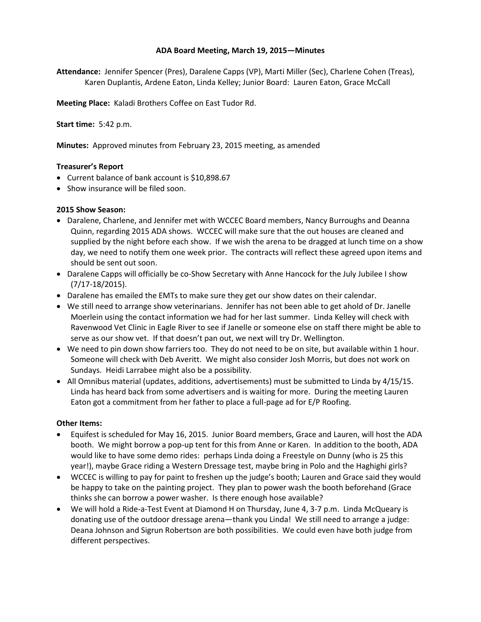## **ADA Board Meeting, March 19, 2015—Minutes**

**Attendance:** Jennifer Spencer (Pres), Daralene Capps (VP), Marti Miller (Sec), Charlene Cohen (Treas), Karen Duplantis, Ardene Eaton, Linda Kelley; Junior Board: Lauren Eaton, Grace McCall

**Meeting Place:** Kaladi Brothers Coffee on East Tudor Rd.

**Start time:** 5:42 p.m.

**Minutes:** Approved minutes from February 23, 2015 meeting, as amended

## **Treasurer's Report**

- Current balance of bank account is \$10,898.67
- Show insurance will be filed soon.

## **2015 Show Season:**

- Daralene, Charlene, and Jennifer met with WCCEC Board members, Nancy Burroughs and Deanna Quinn, regarding 2015 ADA shows. WCCEC will make sure that the out houses are cleaned and supplied by the night before each show. If we wish the arena to be dragged at lunch time on a show day, we need to notify them one week prior. The contracts will reflect these agreed upon items and should be sent out soon.
- Daralene Capps will officially be co-Show Secretary with Anne Hancock for the July Jubilee I show (7/17-18/2015).
- Daralene has emailed the EMTs to make sure they get our show dates on their calendar.
- We still need to arrange show veterinarians. Jennifer has not been able to get ahold of Dr. Janelle Moerlein using the contact information we had for her last summer. Linda Kelley will check with Ravenwood Vet Clinic in Eagle River to see if Janelle or someone else on staff there might be able to serve as our show vet. If that doesn't pan out, we next will try Dr. Wellington.
- We need to pin down show farriers too. They do not need to be on site, but available within 1 hour. Someone will check with Deb Averitt. We might also consider Josh Morris, but does not work on Sundays. Heidi Larrabee might also be a possibility.
- All Omnibus material (updates, additions, advertisements) must be submitted to Linda by 4/15/15. Linda has heard back from some advertisers and is waiting for more. During the meeting Lauren Eaton got a commitment from her father to place a full-page ad for E/P Roofing.

## **Other Items:**

- Equifest is scheduled for May 16, 2015. Junior Board members, Grace and Lauren, will host the ADA booth. We might borrow a pop-up tent for this from Anne or Karen. In addition to the booth, ADA would like to have some demo rides: perhaps Linda doing a Freestyle on Dunny (who is 25 this year!), maybe Grace riding a Western Dressage test, maybe bring in Polo and the Haghighi girls?
- WCCEC is willing to pay for paint to freshen up the judge's booth; Lauren and Grace said they would be happy to take on the painting project. They plan to power wash the booth beforehand (Grace thinks she can borrow a power washer. Is there enough hose available?
- We will hold a Ride-a-Test Event at Diamond H on Thursday, June 4, 3-7 p.m. Linda McQueary is donating use of the outdoor dressage arena—thank you Linda! We still need to arrange a judge: Deana Johnson and Sigrun Robertson are both possibilities. We could even have both judge from different perspectives.